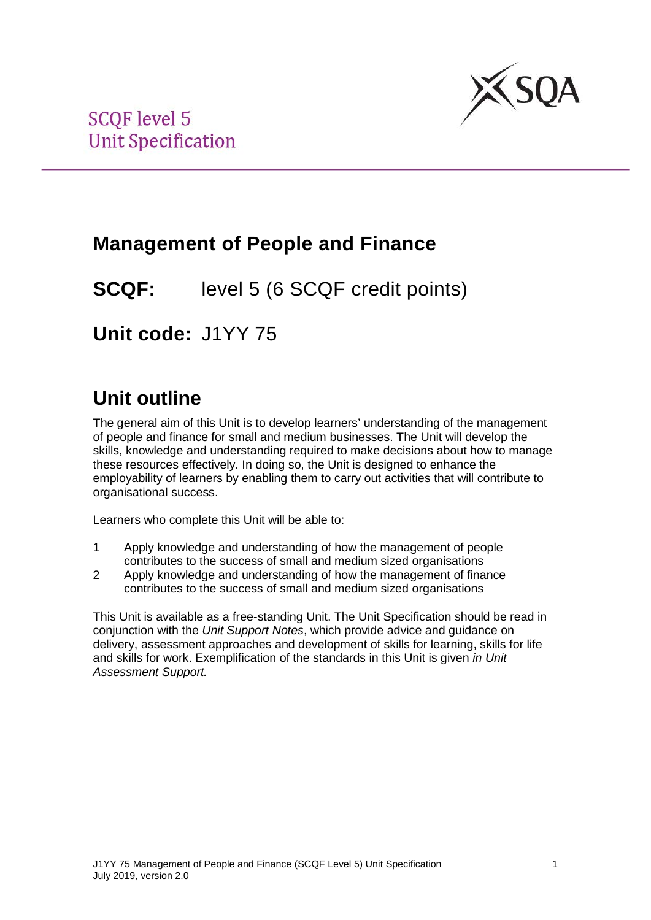

## **Management of People and Finance**

**SCQF:** level 5 (6 SCQF credit points)

**Unit code:** J1YY 75

# **Unit outline**

The general aim of this Unit is to develop learners' understanding of the management of people and finance for small and medium businesses. The Unit will develop the skills, knowledge and understanding required to make decisions about how to manage these resources effectively. In doing so, the Unit is designed to enhance the employability of learners by enabling them to carry out activities that will contribute to organisational success.

Learners who complete this Unit will be able to:

- 1 Apply knowledge and understanding of how the management of people contributes to the success of small and medium sized organisations
- 2 Apply knowledge and understanding of how the management of finance contributes to the success of small and medium sized organisations

This Unit is available as a free-standing Unit. The Unit Specification should be read in conjunction with the *Unit Support Notes*, which provide advice and guidance on delivery, assessment approaches and development of skills for learning, skills for life and skills for work. Exemplification of the standards in this Unit is given *in Unit Assessment Support.*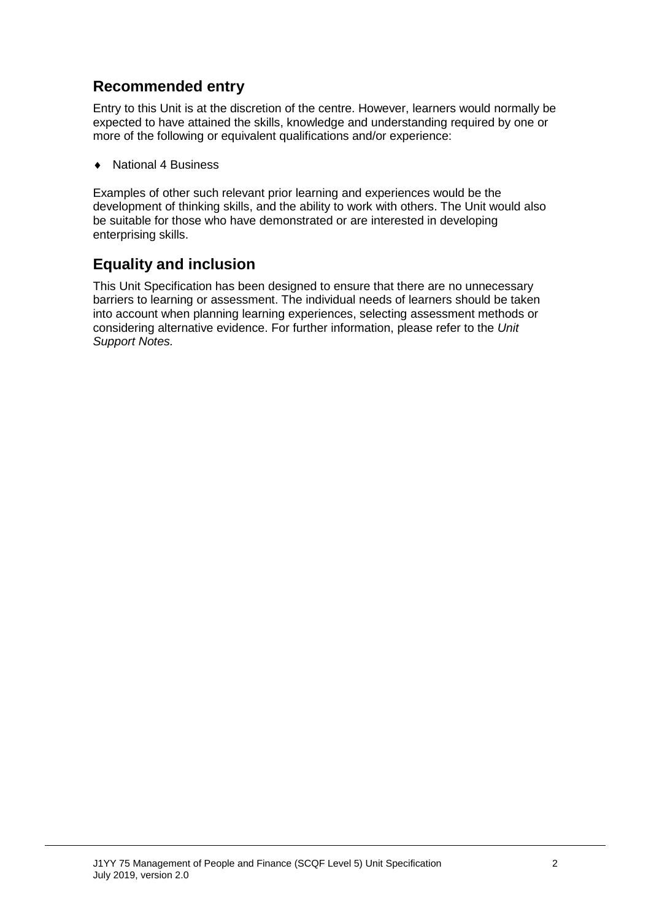### **Recommended entry**

Entry to this Unit is at the discretion of the centre. However, learners would normally be expected to have attained the skills, knowledge and understanding required by one or more of the following or equivalent qualifications and/or experience:

♦ National 4 Business

Examples of other such relevant prior learning and experiences would be the development of thinking skills, and the ability to work with others. The Unit would also be suitable for those who have demonstrated or are interested in developing enterprising skills.

### **Equality and inclusion**

This Unit Specification has been designed to ensure that there are no unnecessary barriers to learning or assessment. The individual needs of learners should be taken into account when planning learning experiences, selecting assessment methods or considering alternative evidence. For further information, please refer to the *Unit Support Notes.*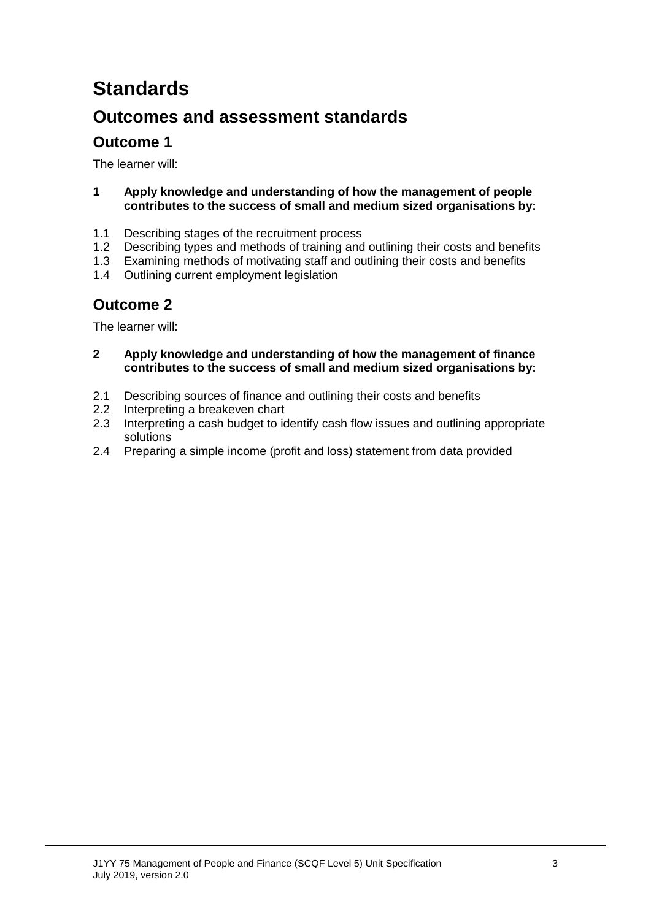# **Standards**

### **Outcomes and assessment standards**

### **Outcome 1**

The learner will:

- **1 Apply knowledge and understanding of how the management of people contributes to the success of small and medium sized organisations by:**
- 1.1 Describing stages of the recruitment process<br>1.2 Describing types and methods of training and
- 1.2 Describing types and methods of training and outlining their costs and benefits<br>1.3 Examining methods of motivating staff and outlining their costs and benefits
- Examining methods of motivating staff and outlining their costs and benefits
- 1.4 Outlining current employment legislation

### **Outcome 2**

The learner will:

- **2 Apply knowledge and understanding of how the management of finance contributes to the success of small and medium sized organisations by:**
- 2.1 Describing sources of finance and outlining their costs and benefits<br>2.2 Interpreting a breakeven chart
- 2.2 Interpreting a breakeven chart<br>2.3 Interpreting a cash budget to id
- Interpreting a cash budget to identify cash flow issues and outlining appropriate solutions
- 2.4 Preparing a simple income (profit and loss) statement from data provided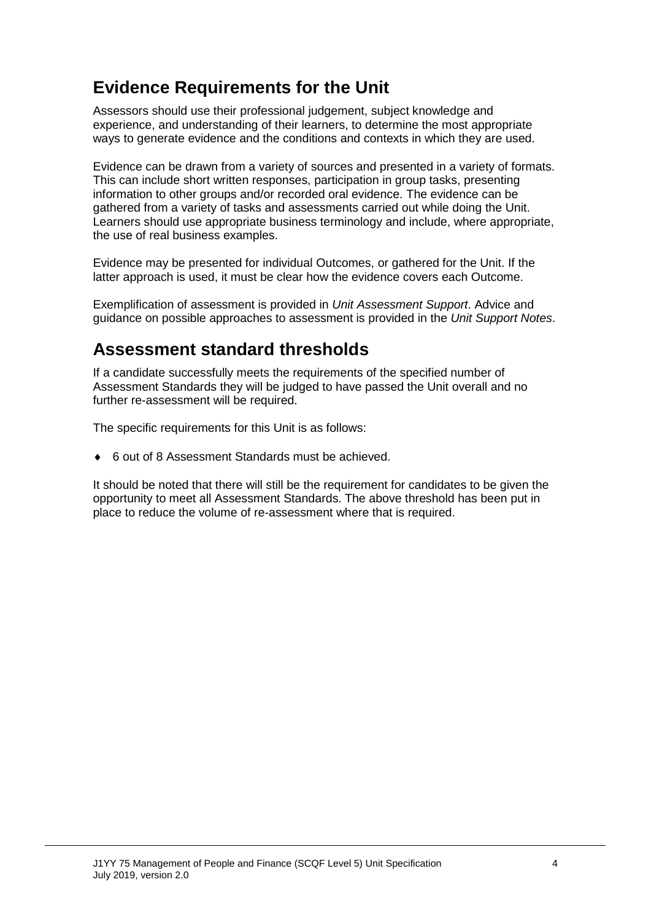## **Evidence Requirements for the Unit**

Assessors should use their professional judgement, subject knowledge and experience, and understanding of their learners, to determine the most appropriate ways to generate evidence and the conditions and contexts in which they are used.

Evidence can be drawn from a variety of sources and presented in a variety of formats. This can include short written responses, participation in group tasks, presenting information to other groups and/or recorded oral evidence. The evidence can be gathered from a variety of tasks and assessments carried out while doing the Unit. Learners should use appropriate business terminology and include, where appropriate, the use of real business examples.

Evidence may be presented for individual Outcomes, or gathered for the Unit. If the latter approach is used, it must be clear how the evidence covers each Outcome.

Exemplification of assessment is provided in *Unit Assessment Support*. Advice and guidance on possible approaches to assessment is provided in the *Unit Support Notes*.

### **Assessment standard thresholds**

If a candidate successfully meets the requirements of the specified number of Assessment Standards they will be judged to have passed the Unit overall and no further re-assessment will be required.

The specific requirements for this Unit is as follows:

♦ 6 out of 8 Assessment Standards must be achieved.

It should be noted that there will still be the requirement for candidates to be given the opportunity to meet all Assessment Standards. The above threshold has been put in place to reduce the volume of re-assessment where that is required.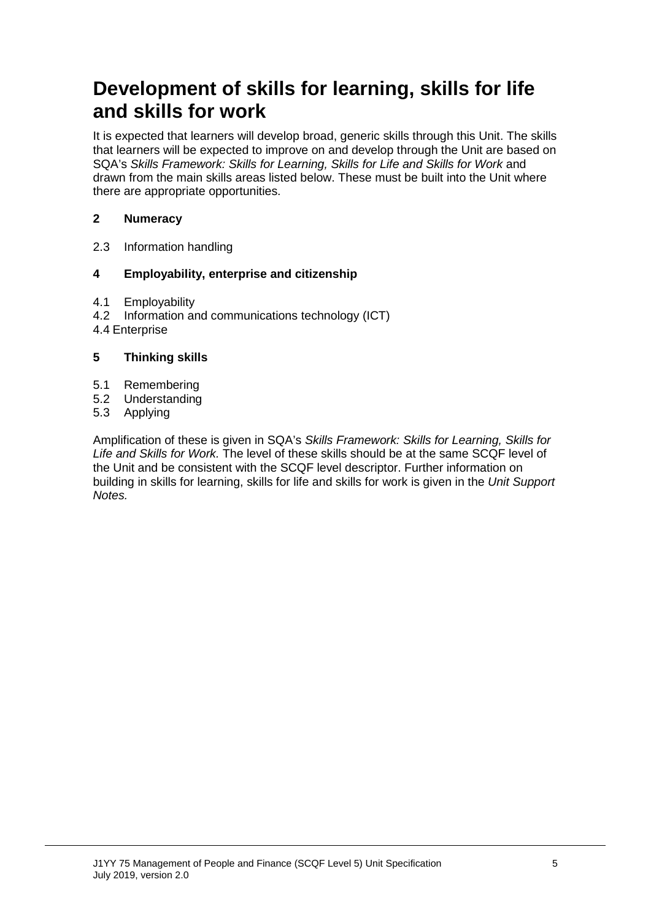## **Development of skills for learning, skills for life and skills for work**

It is expected that learners will develop broad, generic skills through this Unit. The skills that learners will be expected to improve on and develop through the Unit are based on SQA's *Skills Framework: Skills for Learning, Skills for Life and Skills for Work* and drawn from the main skills areas listed below. These must be built into the Unit where there are appropriate opportunities.

#### **2 Numeracy**

2.3 Information handling

#### **4 Employability, enterprise and citizenship**

- 4.1 Employability<br>4.2 Information are
- Information and communications technology (ICT)
- 4.4 Enterprise

#### **5 Thinking skills**

- 5.1 Remembering
- 5.2 Understanding<br>5.3 Applying
- **Applying**

Amplification of these is given in SQA's *Skills Framework: Skills for Learning, Skills for Life and Skills for Work.* The level of these skills should be at the same SCQF level of the Unit and be consistent with the SCQF level descriptor. Further information on building in skills for learning, skills for life and skills for work is given in the *Unit Support Notes.*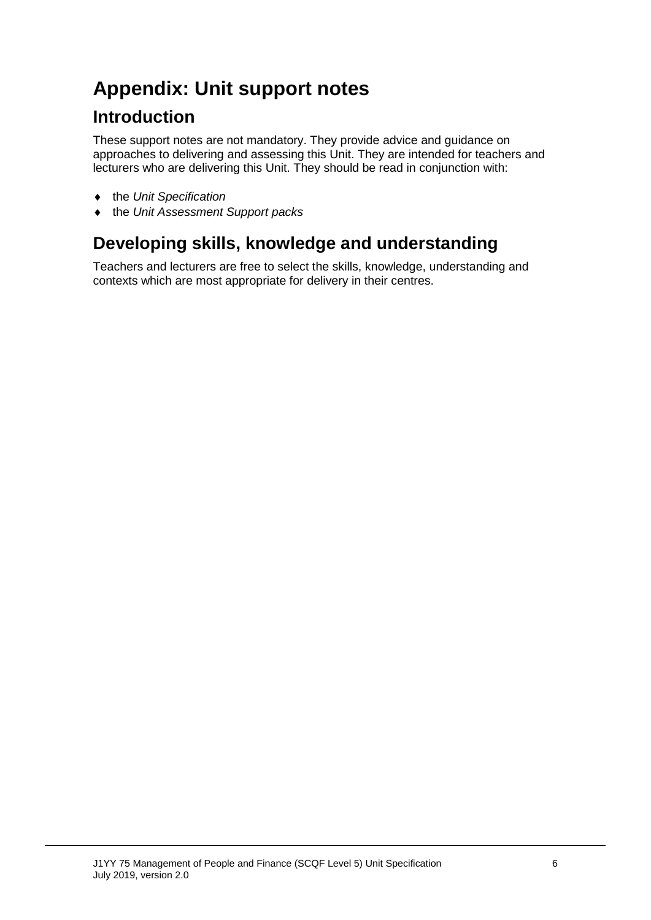# **Appendix: Unit support notes**

## **Introduction**

These support notes are not mandatory. They provide advice and guidance on approaches to delivering and assessing this Unit. They are intended for teachers and lecturers who are delivering this Unit. They should be read in conjunction with:

- ♦ the *Unit Specification*
- ♦ the *Unit Assessment Support packs*

## **Developing skills, knowledge and understanding**

Teachers and lecturers are free to select the skills, knowledge, understanding and contexts which are most appropriate for delivery in their centres.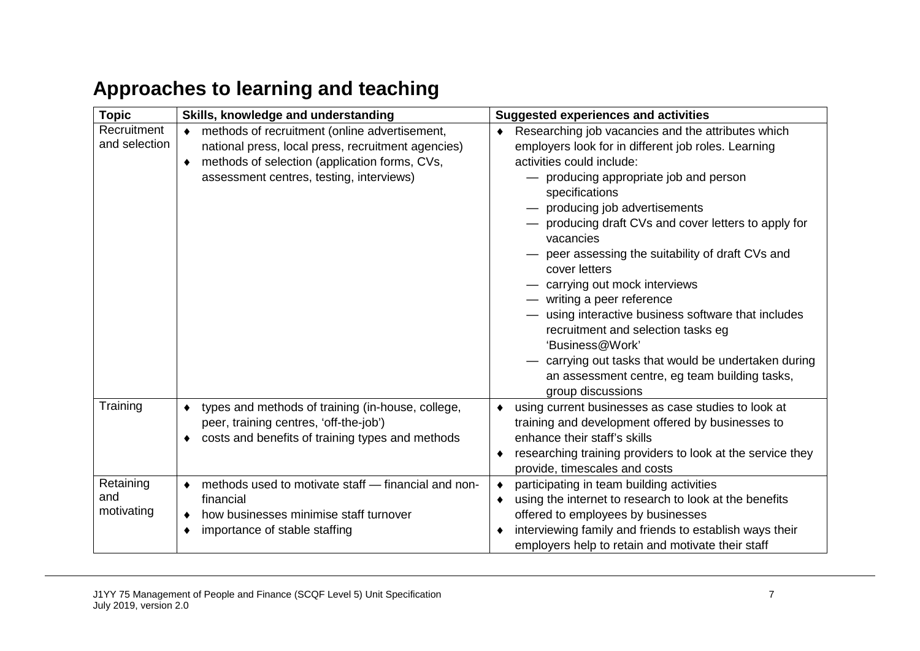# **Approaches to learning and teaching**

| <b>Topic</b>  | Skills, knowledge and understanding                            | <b>Suggested experiences and activities</b>                        |  |  |
|---------------|----------------------------------------------------------------|--------------------------------------------------------------------|--|--|
| Recruitment   | methods of recruitment (online advertisement,                  | Researching job vacancies and the attributes which<br>٠            |  |  |
| and selection | national press, local press, recruitment agencies)             | employers look for in different job roles. Learning                |  |  |
|               | methods of selection (application forms, CVs,<br>$\bullet$     | activities could include:                                          |  |  |
|               | assessment centres, testing, interviews)                       | - producing appropriate job and person                             |  |  |
|               |                                                                | specifications                                                     |  |  |
|               |                                                                | - producing job advertisements                                     |  |  |
|               |                                                                | producing draft CVs and cover letters to apply for                 |  |  |
|               |                                                                | vacancies                                                          |  |  |
|               |                                                                | - peer assessing the suitability of draft CVs and<br>cover letters |  |  |
|               |                                                                |                                                                    |  |  |
|               |                                                                | - carrying out mock interviews<br>- writing a peer reference       |  |  |
|               |                                                                | - using interactive business software that includes                |  |  |
|               |                                                                | recruitment and selection tasks eg                                 |  |  |
|               |                                                                | 'Business@Work'                                                    |  |  |
|               |                                                                | carrying out tasks that would be undertaken during                 |  |  |
|               |                                                                | an assessment centre, eg team building tasks,                      |  |  |
|               |                                                                | group discussions                                                  |  |  |
| Training      | types and methods of training (in-house, college,<br>$\bullet$ | using current businesses as case studies to look at                |  |  |
|               | peer, training centres, 'off-the-job')                         | training and development offered by businesses to                  |  |  |
|               | costs and benefits of training types and methods               | enhance their staff's skills                                       |  |  |
|               |                                                                | researching training providers to look at the service they         |  |  |
|               |                                                                | provide, timescales and costs                                      |  |  |
| Retaining     | methods used to motivate staff - financial and non-            | participating in team building activities<br>٠                     |  |  |
| and           | financial                                                      | using the internet to research to look at the benefits<br>٠        |  |  |
| motivating    | how businesses minimise staff turnover                         | offered to employees by businesses                                 |  |  |
|               | importance of stable staffing                                  | interviewing family and friends to establish ways their            |  |  |
|               |                                                                | employers help to retain and motivate their staff                  |  |  |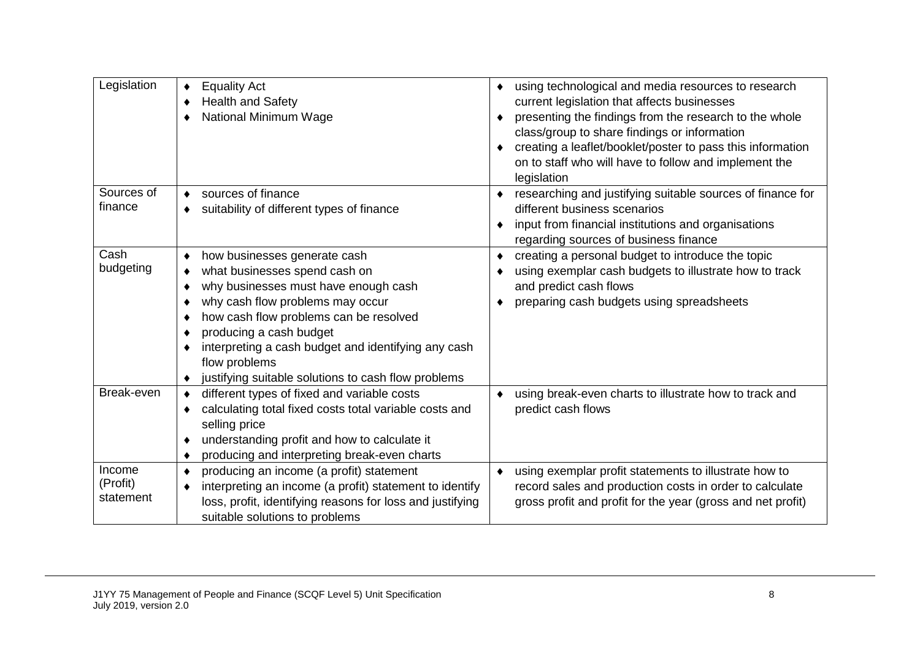| Legislation                     | <b>Equality Act</b><br><b>Health and Safety</b><br>٠<br><b>National Minimum Wage</b>                                                                                                                                                                                                                                                                         | using technological and media resources to research<br>٠<br>current legislation that affects businesses<br>presenting the findings from the research to the whole<br>class/group to share findings or information<br>creating a leaflet/booklet/poster to pass this information<br>on to staff who will have to follow and implement the<br>legislation |
|---------------------------------|--------------------------------------------------------------------------------------------------------------------------------------------------------------------------------------------------------------------------------------------------------------------------------------------------------------------------------------------------------------|---------------------------------------------------------------------------------------------------------------------------------------------------------------------------------------------------------------------------------------------------------------------------------------------------------------------------------------------------------|
| Sources of<br>finance           | sources of finance<br>suitability of different types of finance<br>٠                                                                                                                                                                                                                                                                                         | researching and justifying suitable sources of finance for<br>different business scenarios<br>input from financial institutions and organisations<br>regarding sources of business finance                                                                                                                                                              |
| Cash<br>budgeting               | how businesses generate cash<br>٠<br>what businesses spend cash on<br>why businesses must have enough cash<br>why cash flow problems may occur<br>how cash flow problems can be resolved<br>٠<br>producing a cash budget<br>interpreting a cash budget and identifying any cash<br>٠<br>flow problems<br>justifying suitable solutions to cash flow problems | creating a personal budget to introduce the topic<br>٠<br>using exemplar cash budgets to illustrate how to track<br>and predict cash flows<br>preparing cash budgets using spreadsheets                                                                                                                                                                 |
| Break-even                      | different types of fixed and variable costs<br>calculating total fixed costs total variable costs and<br>selling price<br>understanding profit and how to calculate it<br>٠<br>producing and interpreting break-even charts<br>٠                                                                                                                             | using break-even charts to illustrate how to track and<br>predict cash flows                                                                                                                                                                                                                                                                            |
| Income<br>(Profit)<br>statement | producing an income (a profit) statement<br>٠<br>interpreting an income (a profit) statement to identify<br>loss, profit, identifying reasons for loss and justifying<br>suitable solutions to problems                                                                                                                                                      | using exemplar profit statements to illustrate how to<br>٠<br>record sales and production costs in order to calculate<br>gross profit and profit for the year (gross and net profit)                                                                                                                                                                    |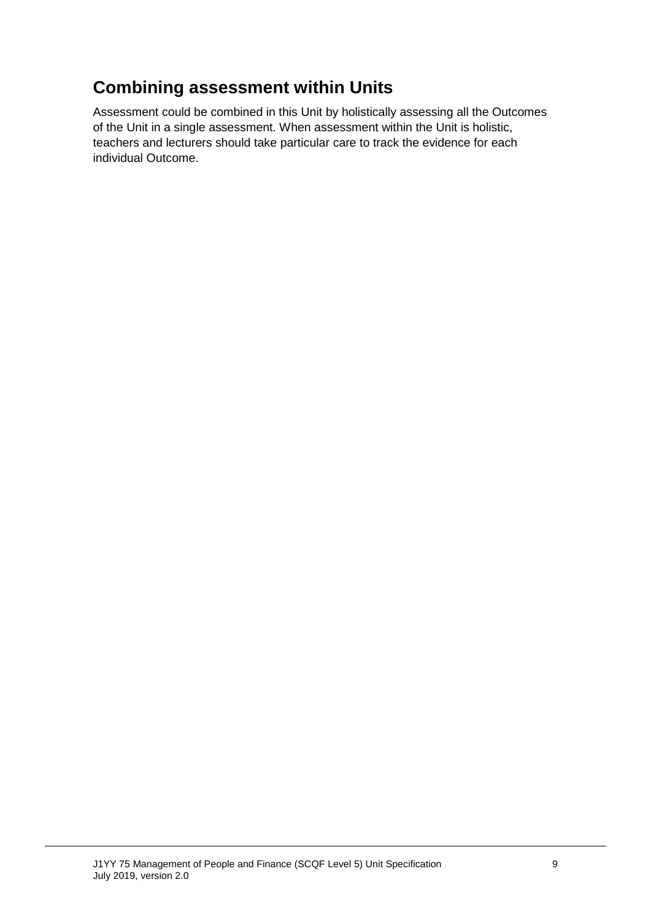## **Combining assessment within Units**

Assessment could be combined in this Unit by holistically assessing all the Outcomes of the Unit in a single assessment. When assessment within the Unit is holistic, teachers and lecturers should take particular care to track the evidence for each individual Outcome.